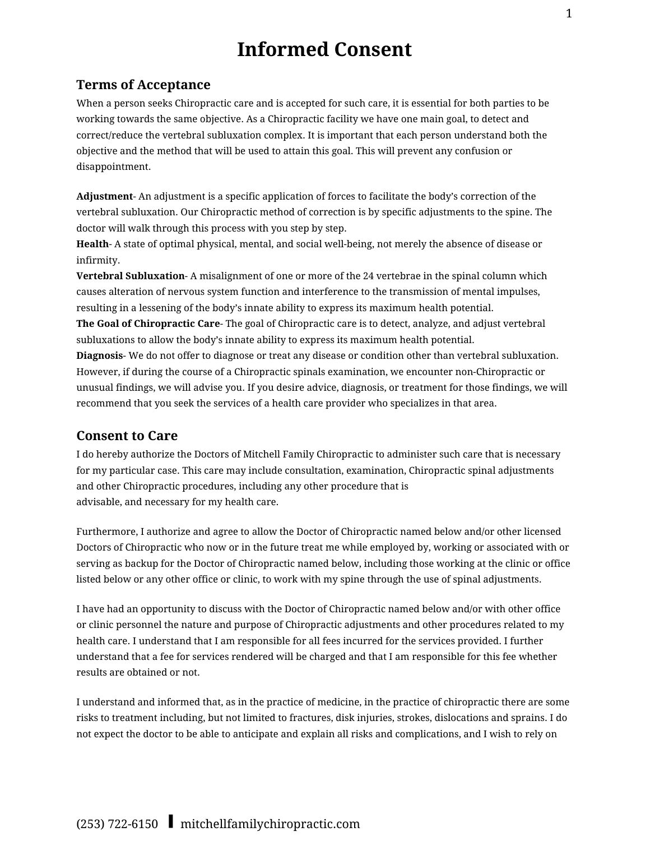# **Informed Consent**

### **Terms of Acceptance**

When a person seeks Chiropractic care and is accepted for such care, it is essential for both parties to be working towards the same objective. As a Chiropractic facility we have one main goal, to detect and correct/reduce the vertebral subluxation complex. It is important that each person understand both the objective and the method that will be used to attain this goal. This will prevent any confusion or disappointment.

**Adjustment**- An adjustment is a specific application of forces to facilitate the body's correction of the vertebral subluxation. Our Chiropractic method of correction is by specific adjustments to the spine. The doctor will walk through this process with you step by step.

**Health**- A state of optimal physical, mental, and social well-being, not merely the absence of disease or infirmity.

**Vertebral Subluxation**- A misalignment of one or more of the 24 vertebrae in the spinal column which causes alteration of nervous system function and interference to the transmission of mental impulses, resulting in a lessening of the body's innate ability to express its maximum health potential.

**The Goal of Chiropractic Care**- The goal of Chiropractic care is to detect, analyze, and adjust vertebral subluxations to allow the body's innate ability to express its maximum health potential.

**Diagnosis**- We do not offer to diagnose or treat any disease or condition other than vertebral subluxation. However, if during the course of a Chiropractic spinals examination, we encounter non-Chiropractic or unusual findings, we will advise you. If you desire advice, diagnosis, or treatment for those findings, we will recommend that you seek the services of a health care provider who specializes in that area.

#### **Consent to Care**

I do hereby authorize the Doctors of Mitchell Family Chiropractic to administer such care that is necessary for my particular case. This care may include consultation, examination, Chiropractic spinal adjustments and other Chiropractic procedures, including any other procedure that is advisable, and necessary for my health care.

Furthermore, I authorize and agree to allow the Doctor of Chiropractic named below and/or other licensed Doctors of Chiropractic who now or in the future treat me while employed by, working or associated with or serving as backup for the Doctor of Chiropractic named below, including those working at the clinic or office listed below or any other office or clinic, to work with my spine through the use of spinal adjustments.

I have had an opportunity to discuss with the Doctor of Chiropractic named below and/or with other office or clinic personnel the nature and purpose of Chiropractic adjustments and other procedures related to my health care. I understand that I am responsible for all fees incurred for the services provided. I further understand that a fee for services rendered will be charged and that I am responsible for this fee whether results are obtained or not.

I understand and informed that, as in the practice of medicine, in the practice of chiropractic there are some risks to treatment including, but not limited to fractures, disk injuries, strokes, dislocations and sprains. I do not expect the doctor to be able to anticipate and explain all risks and complications, and I wish to rely on

## (253) 722-6150❙mitchellfamilychiropractic.com